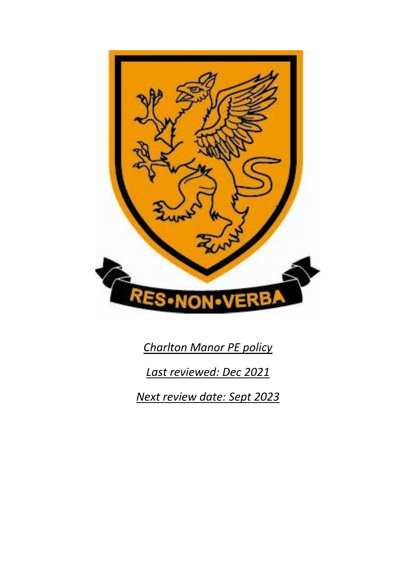

*Charlton Manor PE policy Last reviewed: Dec 2021*

*Next review date: Sept 2023*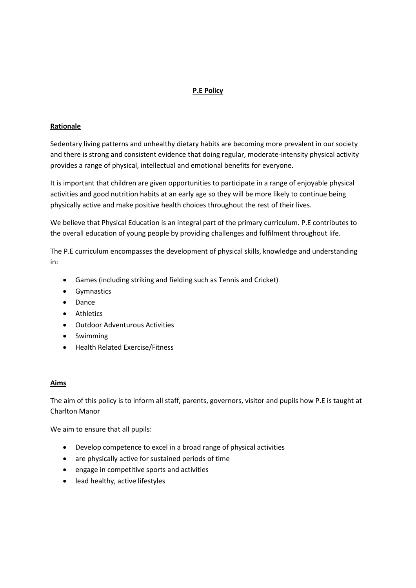# **P.E Policy**

#### **Rationale**

Sedentary living patterns and unhealthy dietary habits are becoming more prevalent in our society and there is strong and consistent evidence that doing regular, moderate-intensity physical activity provides a range of physical, intellectual and emotional benefits for everyone.

It is important that children are given opportunities to participate in a range of enjoyable physical activities and good nutrition habits at an early age so they will be more likely to continue being physically active and make positive health choices throughout the rest of their lives.

We believe that Physical Education is an integral part of the primary curriculum. P.E contributes to the overall education of young people by providing challenges and fulfilment throughout life.

The P.E curriculum encompasses the development of physical skills, knowledge and understanding in:

- Games (including striking and fielding such as Tennis and Cricket)
- **•** Gymnastics
- Dance
- Athletics
- Outdoor Adventurous Activities
- Swimming
- Health Related Exercise/Fitness

#### **Aims**

The aim of this policy is to inform all staff, parents, governors, visitor and pupils how P.E is taught at Charlton Manor

We aim to ensure that all pupils:

- Develop competence to excel in a broad range of physical activities
- are physically active for sustained periods of time
- engage in competitive sports and activities
- lead healthy, active lifestyles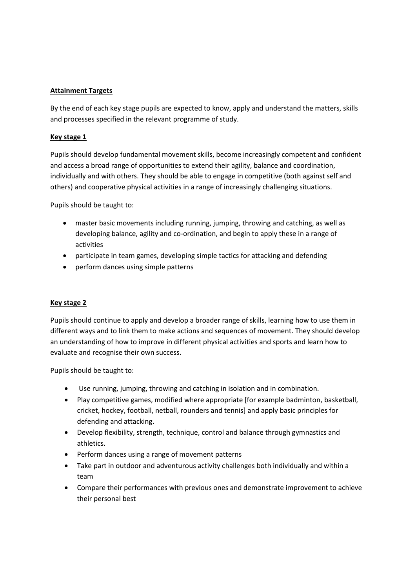### **Attainment Targets**

By the end of each key stage pupils are expected to know, apply and understand the matters, skills and processes specified in the relevant programme of study.

### **Key stage 1**

Pupils should develop fundamental movement skills, become increasingly competent and confident and access a broad range of opportunities to extend their agility, balance and coordination, individually and with others. They should be able to engage in competitive (both against self and others) and cooperative physical activities in a range of increasingly challenging situations.

Pupils should be taught to:

- master basic movements including running, jumping, throwing and catching, as well as developing balance, agility and co-ordination, and begin to apply these in a range of activities
- participate in team games, developing simple tactics for attacking and defending
- perform dances using simple patterns

# **Key stage 2**

Pupils should continue to apply and develop a broader range of skills, learning how to use them in different ways and to link them to make actions and sequences of movement. They should develop an understanding of how to improve in different physical activities and sports and learn how to evaluate and recognise their own success.

Pupils should be taught to:

- Use running, jumping, throwing and catching in isolation and in combination.
- Play competitive games, modified where appropriate [for example badminton, basketball, cricket, hockey, football, netball, rounders and tennis] and apply basic principles for defending and attacking.
- Develop flexibility, strength, technique, control and balance through gymnastics and athletics.
- Perform dances using a range of movement patterns
- Take part in outdoor and adventurous activity challenges both individually and within a team
- Compare their performances with previous ones and demonstrate improvement to achieve their personal best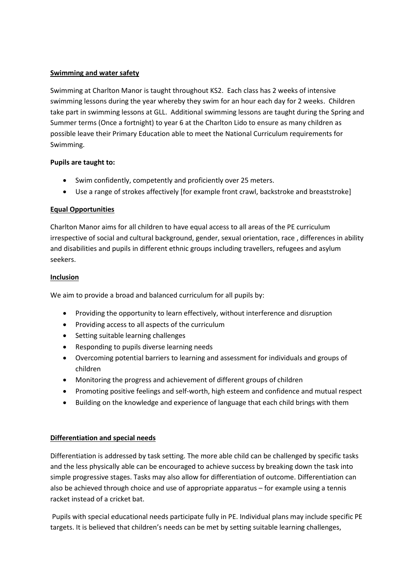### **Swimming and water safety**

Swimming at Charlton Manor is taught throughout KS2. Each class has 2 weeks of intensive swimming lessons during the year whereby they swim for an hour each day for 2 weeks. Children take part in swimming lessons at GLL. Additional swimming lessons are taught during the Spring and Summer terms (Once a fortnight) to year 6 at the Charlton Lido to ensure as many children as possible leave their Primary Education able to meet the National Curriculum requirements for Swimming.

#### **Pupils are taught to:**

- Swim confidently, competently and proficiently over 25 meters.
- Use a range of strokes affectively [for example front crawl, backstroke and breaststroke]

### **Equal Opportunities**

Charlton Manor aims for all children to have equal access to all areas of the PE curriculum irrespective of social and cultural background, gender, sexual orientation, race , differences in ability and disabilities and pupils in different ethnic groups including travellers, refugees and asylum seekers.

### **Inclusion**

We aim to provide a broad and balanced curriculum for all pupils by:

- Providing the opportunity to learn effectively, without interference and disruption
- Providing access to all aspects of the curriculum
- Setting suitable learning challenges
- Responding to pupils diverse learning needs
- Overcoming potential barriers to learning and assessment for individuals and groups of children
- Monitoring the progress and achievement of different groups of children
- Promoting positive feelings and self-worth, high esteem and confidence and mutual respect
- Building on the knowledge and experience of language that each child brings with them

### **Differentiation and special needs**

Differentiation is addressed by task setting. The more able child can be challenged by specific tasks and the less physically able can be encouraged to achieve success by breaking down the task into simple progressive stages. Tasks may also allow for differentiation of outcome. Differentiation can also be achieved through choice and use of appropriate apparatus – for example using a tennis racket instead of a cricket bat.

Pupils with special educational needs participate fully in PE. Individual plans may include specific PE targets. It is believed that children's needs can be met by setting suitable learning challenges,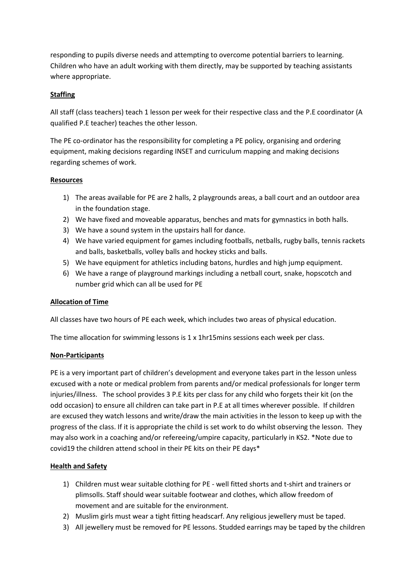responding to pupils diverse needs and attempting to overcome potential barriers to learning. Children who have an adult working with them directly, may be supported by teaching assistants where appropriate.

### **Staffing**

All staff (class teachers) teach 1 lesson per week for their respective class and the P.E coordinator (A qualified P.E teacher) teaches the other lesson.

The PE co-ordinator has the responsibility for completing a PE policy, organising and ordering equipment, making decisions regarding INSET and curriculum mapping and making decisions regarding schemes of work.

#### **Resources**

- 1) The areas available for PE are 2 halls, 2 playgrounds areas, a ball court and an outdoor area in the foundation stage.
- 2) We have fixed and moveable apparatus, benches and mats for gymnastics in both halls.
- 3) We have a sound system in the upstairs hall for dance.
- 4) We have varied equipment for games including footballs, netballs, rugby balls, tennis rackets and balls, basketballs, volley balls and hockey sticks and balls.
- 5) We have equipment for athletics including batons, hurdles and high jump equipment.
- 6) We have a range of playground markings including a netball court, snake, hopscotch and number grid which can all be used for PE

### **Allocation of Time**

All classes have two hours of PE each week, which includes two areas of physical education.

The time allocation for swimming lessons is  $1 \times 1$ hr15mins sessions each week per class.

#### **Non-Participants**

PE is a very important part of children's development and everyone takes part in the lesson unless excused with a note or medical problem from parents and/or medical professionals for longer term injuries/illness. The school provides 3 P.E kits per class for any child who forgets their kit (on the odd occasion) to ensure all children can take part in P.E at all times wherever possible. If children are excused they watch lessons and write/draw the main activities in the lesson to keep up with the progress of the class. If it is appropriate the child is set work to do whilst observing the lesson. They may also work in a coaching and/or refereeing/umpire capacity, particularly in KS2. \*Note due to covid19 the children attend school in their PE kits on their PE days\*

### **Health and Safety**

- 1) Children must wear suitable clothing for PE well fitted shorts and t-shirt and trainers or plimsolls. Staff should wear suitable footwear and clothes, which allow freedom of movement and are suitable for the environment.
- 2) Muslim girls must wear a tight fitting headscarf. Any religious jewellery must be taped.
- 3) All jewellery must be removed for PE lessons. Studded earrings may be taped by the children